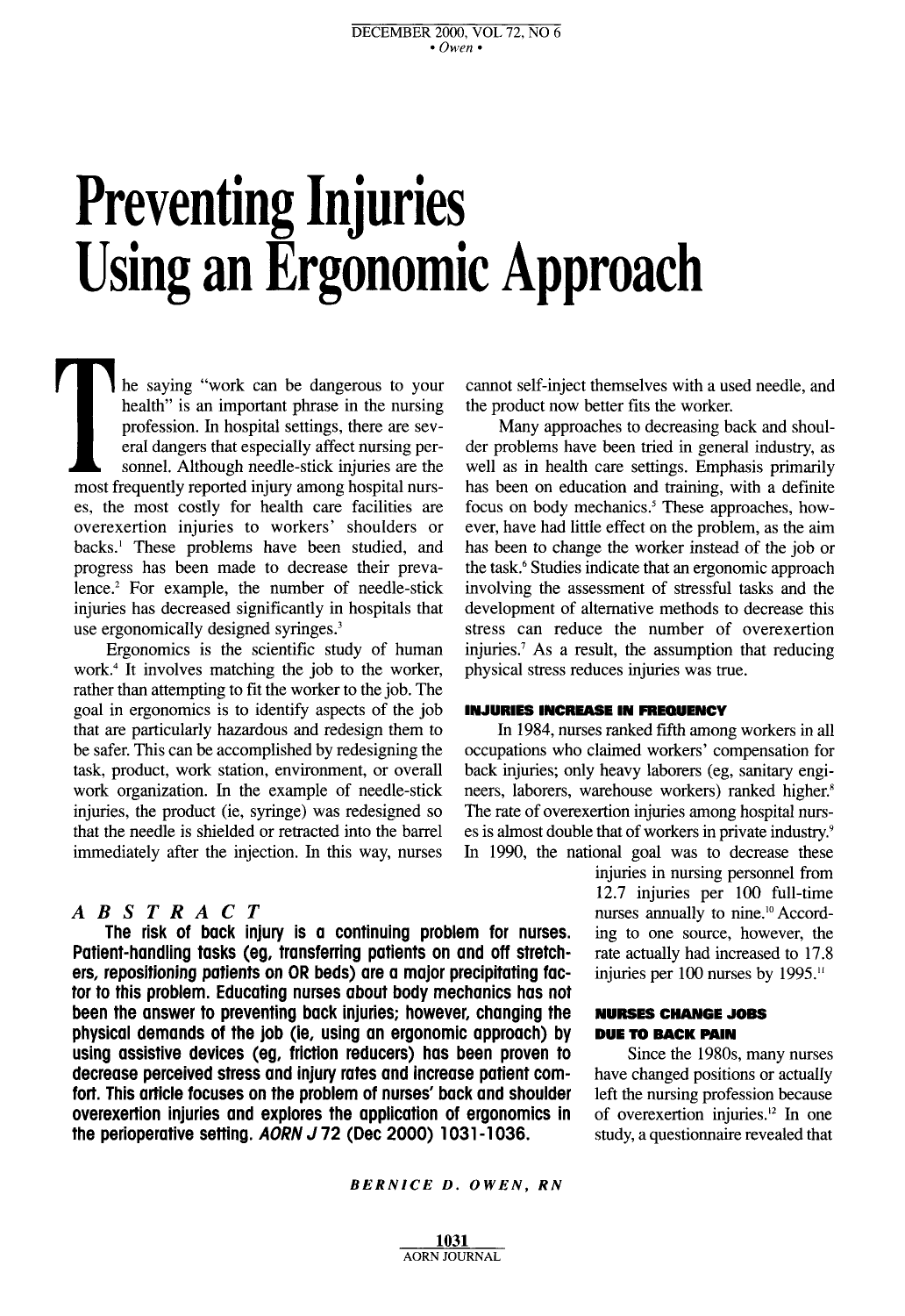# **Preventing Injuries Using an Ergonomic Approach**

The saying "work can be dangerous to your<br>health" is an important phrase in the nursing<br>profession. In hospital settings, there are sev-<br>eral dangers that especially affect nursing per-<br>sonnel. Although needle-stick injuri health" is an important phrase in the nursing profession. In hospital settings, there are several dangers that especially affect nursing personnel. Although needle-stick injuries are the most frequently reported injury among hospital nurses, the most costly for health care facilities are overexertion injuries to workers' shoulders or backs.<sup>1</sup> These problems have been studied, and progress has been made to decrease their prevalence.2 For example, the number of needle-stick injuries has decreased significantly in hospitals that use ergonomically designed syringes.<sup>3</sup>

Ergonomics is the scientific study of human work.4 It involves matching the job to the worker, rather than attempting to fit the worker to the job. The goal in ergonomics is to identify aspects of the job that are particularly hazardous and redesign them to be safer. This can be accomplished by redesigning the task, product, work station, environment, or overall work organization. In the example of needle-stick injuries, the product (ie, syringe) was redesigned so that the needle is shielded or retracted into the barrel immediately after the injection. In this way, nurses

#### *ABSTRACT*

**The risk of back injury is a continuing problem for nurses. Patient-handling tasks (eg, transferring patients on and off stretchers, repositioning patients on OR beds) are a major precipitating factor to this problem. Educating nurses about body mechanics has not been the answer to preventing back injuries; however, changing the physical demands of the job (ie, using an ergonomic approach) by using assistive devices (eg, friction reducers) has been proven to decrease perceived stress and injury rates and increase patient comfort. This article focuses on the problem of nurses' back and shoulder overexertion injuries and explores the application of ergonomics in the perioperative setting.** *AORN J* **72 (Dec 2000) 1031 -1 036.** 

cannot self-inject themselves with a used needle, and the product now better fits the worker.

Many approaches to decreasing back and shoulder problems have been tried in general industry, as well as in health care settings. Emphasis primarily has been on education and training, with a definite focus on body mechanics.<sup>5</sup> These approaches, however, have had little effect on the problem, as the aim has been to change the worker instead of the job or the task.6 Studies indicate that **an** ergonomic approach involving the assessment of stressful tasks and the development of alternative methods to decrease this stress can reduce the number of overexertion injuries.<sup> $7$ </sup> As a result, the assumption that reducing physical stress reduces injuries was true.

#### **INJURIES INCREASE IN FREQUENCY**

In 1984, nurses ranked fifth among workers in all occupations who claimed workers' compensation for back injuries; only heavy laborers (eg, sanitary engineers, laborers, warehouse workers) ranked higher: The rate of overexertion injuries among hospital nurses is almost double that of workers in private industry.<sup>9</sup> In 1990, the national goal was to decrease these

> injuries in nursing personnel from **12.7** injuries per 100 full-time nurses annually to nine.<sup>10</sup> According to one source, however, the rate actually had increased to 17.8 injuries per 100 nurses by 1995."

#### **NURSES CHANGE JOBS DUE TO BACK PAIN**

Since the 1980s, many nurses have changed positions or actually left the nursing profession because of overexertion injuries.12 In one study, a questionnaire revealed that

#### *BERNICE D. OWEN. RN*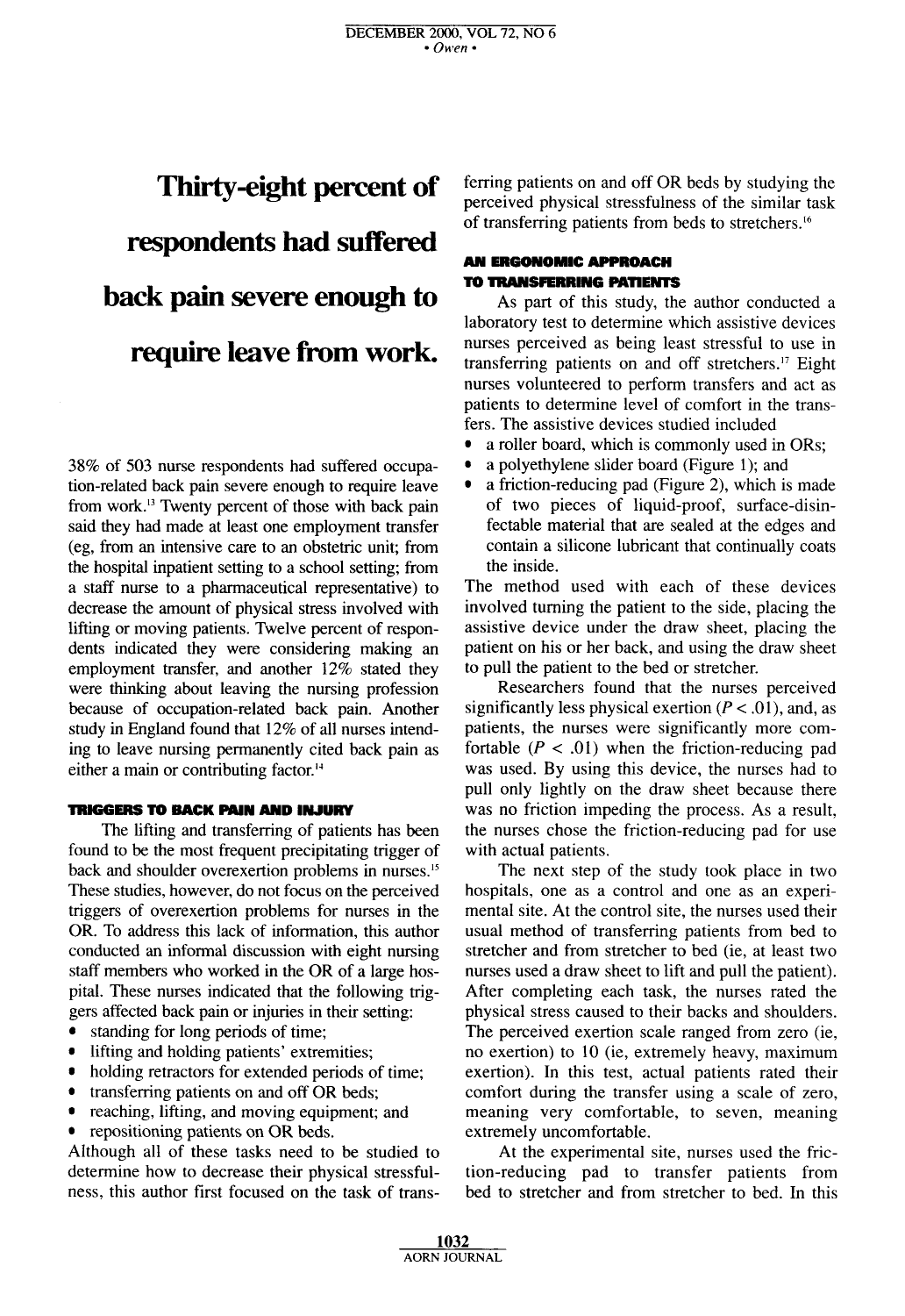## **Thirty-eight percent of respondents had suffered back pain severe enough to**  require leave from work.

38% of 503 nurse respondents had suffered occupation-related back pain severe enough to require leave from work.13 Twenty percent of those with back pain said they had made at least one employment transfer (eg, from an intensive care to an obstetric unit; from the hospital inpatient setting to a school setting; from a staff nurse to a pharmaceutical representative) to decrease the amount of physical stress involved with lifting or moving patients. Twelve percent of respondents indicated they were considering making an employment transfer, and another 12% stated they were thinking about leaving the nursing profession because of occupation-related back pain. Another study in England found that 12% of all nurses intending to leave nursing permanently cited back pain as either a main or contributing factor."

#### **TRIGGERS TO BACK PAIN AND INJURY**

The lifting and transferring of patients has been found to be the most frequent precipitating trigger of back and shoulder overexertion problems in nurses.15 These studies, however, do not focus on the perceived triggers of overexertion problems for nurses in the OR. To address this lack of information, this author conducted an informal discussion with eight nursing staff members who worked in the OR of a large hospital. These nurses indicated that the following triggers affected back pain or injuries in their setting:

- standing for long periods of time;
- lifting and holding patients' extremities;
- holding retractors for extended periods of time;
- transferring patients on and off OR beds;
- $\bullet$ reaching, lifting, and moving equipment; and
- $\bullet$ repositioning patients on OR beds.

Although all of these tasks need to be studied to determine how to decrease their physical stressfulness, this author first focused on the task of trans-

ferring patients on and off OR beds by studying the perceived physical stressfulness of the similar task of transferring patients from beds to stretchers.<sup>16</sup>

#### *AN* **ERGONOMIC APPROACH TO TRANSFERRING PATIENTS**

As part of this study, the author conducted a laboratory test to determine which assistive devices nurses perceived as being least stressful to use in transferring patients on and off stretchers.<sup>17</sup> Eight nurses volunteered to perform transfers and act as patients to determine level of comfort in the transfers. The assistive devices studied included

- a roller board. which is commonly used in ORs;
- $\bullet$ a polyethylene slider board (Figure 1); and
- $\bullet$ a friction-reducing pad (Figure *2),* which is made of two pieces of liquid-proof, surface-disinfectable material that are sealed at the edges and contain a silicone lubricant that continually coats the inside.

The method used with each of these devices involved turning the patient to the side, placing the assistive device under the draw sheet, placing the patient on his or her back, and using the draw sheet to pull the patient to the bed or stretcher.

Researchers found that the nurses perceived significantly less physical exertion  $(P < .01)$ , and, as patients, the nurses were significantly more comfortable  $(P < .01)$  when the friction-reducing pad was used. By using this device, the nurses had to pull only lightly on the draw sheet because there was no friction impeding the process. **As** a result, the nurses chose the friction-reducing pad for use with actual patients.

The next step of the study took place in two hospitals, one as a control and one as an experimental site. At the control site, the nurses used their usual method of transferring patients from bed to stretcher and from stretcher to bed (ie, at least two nurses used a draw sheet to lift and pull the patient). After completing each task, the nurses rated the physical stress caused to their backs and shoulders. The perceived exertion scale ranged from zero (ie, no exertion) to 10 (ie, extremely heavy, maximum exertion). In this test, actual patients rated their comfort during the transfer using a scale of zero, meaning very comfortable, to seven, meaning extremely uncomfortable.

At the experimental site, nurses used the friction-reducing pad to transfer patients from bed to stretcher and from stretcher to bed. In this